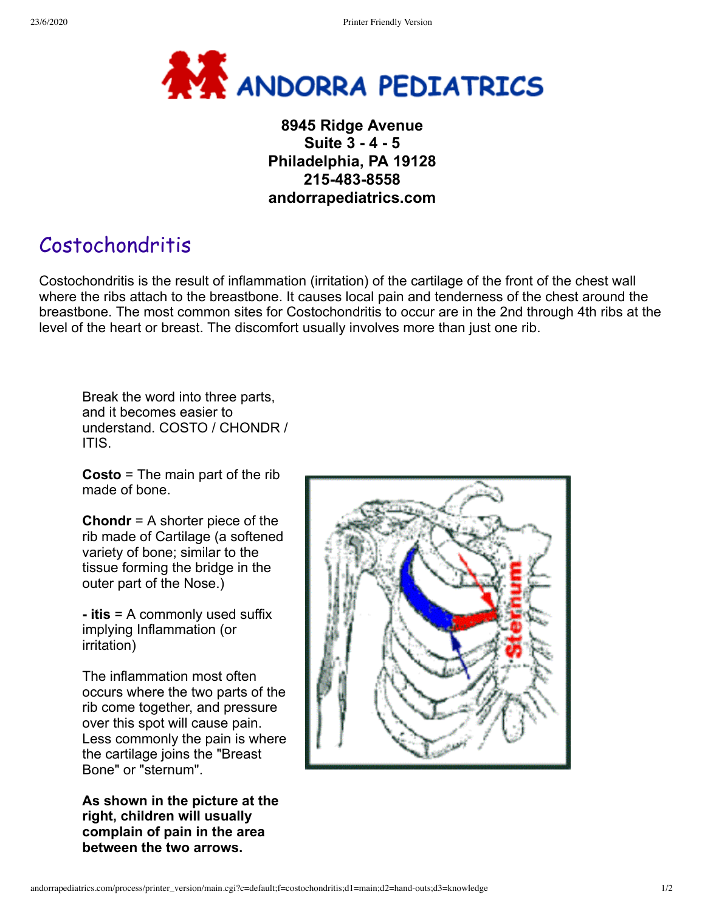

## **8945 Ridge Avenue Suite 3 - 4 - 5 Philadelphia, PA 19128 215-483-8558 andorrapediatrics.com**

## Costochondritis

Costochondritis is the result of inflammation (irritation) of the cartilage of the front of the chest wall where the ribs attach to the breastbone. It causes local pain and tenderness of the chest around the breastbone. The most common sites for Costochondritis to occur are in the 2nd through 4th ribs at the level of the heart or breast. The discomfort usually involves more than just one rib.

Break the word into three parts, and it becomes easier to understand. COSTO / CHONDR / ITIS.

**Costo** = The main part of the rib made of bone.

**Chondr** = A shorter piece of the rib made of Cartilage (a softened variety of bone; similar to the tissue forming the bridge in the outer part of the Nose.)

**- itis** = A commonly used suffix implying Inflammation (or irritation)

The inflammation most often occurs where the two parts of the rib come together, and pressure over this spot will cause pain. Less commonly the pain is where the cartilage joins the "Breast Bone" or "sternum".

**As shown in the picture at the right, children will usually complain of pain in the area between the two arrows.**